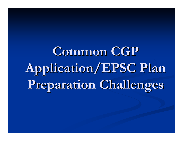Common CGP **Application/EPSC Plan Application/EPSC Plan Preparation Challenges Preparation Challenges**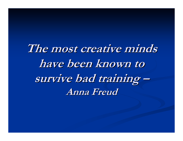The most creative minds **have been known to have been known to**  survive bad training **–Anna Freud Anna Freud**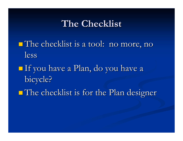#### **The Checklist The Checklist**

- The checklist is a tool: no more, no The checklist is a tool: no more, no less
- **If you have a Plan, do you have a** bicycle?
- **The checklist is for the Plan designer**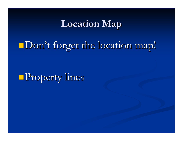## **Location Map Location Map**

# Don't forget the location map!

**Property lines**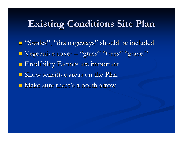## **Existing Conditions Site Plan Existing Conditions Site Plan**

■ "Swales", "drainageways" should be included **U** Vegetative cover - $\mathcal{L}_{\mathcal{A}}$ – "grass" "trees" "gravel" **Exodibility Factors are important**  $\blacksquare$  Show sensitive areas on the Plan  $\blacksquare$  Make sure there's a north arrow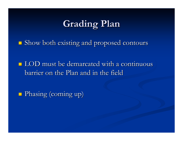## **Grading Plan Grading Plan**

 $\blacksquare$  Show both existing and proposed contours

 $\blacksquare$  LOD must be demarcated with a continuous barrier on the Plan and in the field barrier on the Plan and in the field

**Phasing (coming up)**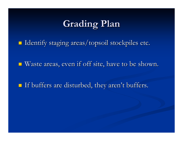## **Grading Plan Grading Plan**

Identify staging areas/topsoil stockpiles etc. Identify staging areas/topsoil stockpiles etc.

 $\blacksquare$  Waste areas, even if off site, have to be shown.

 $\blacksquare$  If buffers are disturbed, they aren't buffers.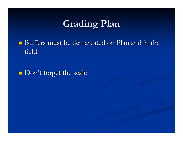# **Grading Plan Grading Plan**

 $\blacksquare$  Buffers must be demarcated on Plan and in the field.

Don't forget the scale Don't forget the scale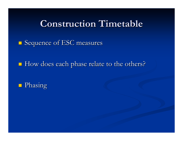#### **Construction Timetable Construction Timetable**

 $\blacksquare$  Sequence of ESC measures

How does each phase relate to the others?

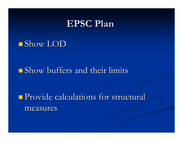#### **EPSC Plan EPSC Plan**

#### $\blacksquare$  Show LOD

#### $\blacksquare$  Show buffers and their limits

## **Provide calculations for structural** measures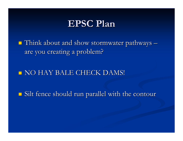### **EPSC Plan EPSC Plan**

 $\blacksquare$  Think about and show stormwater pathways  $\blacksquare$ are you creating a problem?

#### **NO HAY BALE CHECK DAMS!**

 $\blacksquare$  Silt fence should run parallel with the contour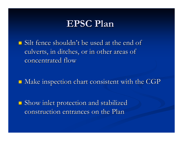### **EPSC Plan EPSC Plan**

 $\blacksquare$  Silt fence shouldn't be used at the end of culverts, in ditches, or in other areas of culverts, in ditches, or in other areas of concentrated flow

 $\blacksquare$  Make inspection chart consistent with the CGP

 $\blacksquare$  Show inlet protection and stabilized construction entrances on the Plan construction entrances on the Plan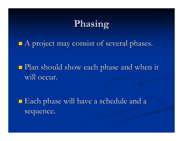# **Phasing Phasing**

 $\blacksquare$  A project may consist of several phases.

 Plan should show each phase and when it Plan should show each phase and when it will occur.

**Each phase will have a schedule and a** sequence.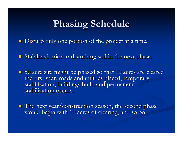# **Phasing Schedule Phasing Schedule**

Disturb only one portion of the project at a time. Disturb only one portion of the project at a time.

 $\blacksquare$  Stabilized prior to disturbing soil in the next phase.

 $\blacksquare$  50 acre site might be phased so that 10 acres are cleared the first year, roads and utilities placed, temporary stabilization, buildings built, and permanent stabilization occurs.

 $\blacksquare$  The next year/construction season, the second phase would begin with 10 acres of clearing, and so on.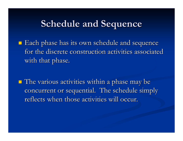#### **Schedule and Sequence Schedule and Sequence**

 $\blacksquare$  Each phase has its own schedule and sequence for the discrete construction activities associated with that phase.

 $\blacksquare$  The various activities within a phase may be concurrent or sequential. The schedule simply concurrent or sequential. The schedule simply reflects when those activities will occur.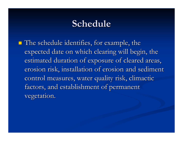## **Schedule Schedule**

 $\blacksquare$  The schedule identifies, for example, the expected date on which clearing will begin, the estimated duration of exposure of cleared areas, erosion risk, installation of erosion and sediment control measures, water quality risk, climactic factors, and establishment of permanent vegetation.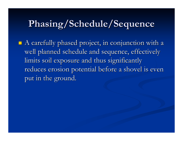## **Phasing/Schedule/Sequence Phasing/Schedule/Sequence**

 $\blacksquare$  A carefully phased project, in conjunction with a well planned schedule and sequence, effectively limits soil exposure and thus significantly limits soil exposure and thus significantly reduces erosion potential before a shovel is even put in the ground.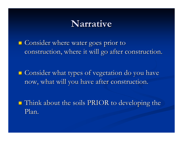#### **Narrative Narrative**

**E** Consider where water goes prior to construction, where it will go after construction.

 $\blacksquare$  Consider what types of vegetation do you have now, what will you have after construction.

 Think about the soils PRIOR to developing the Think about the soils PRIOR to developing the Plan.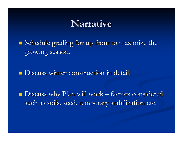#### **Narrative Narrative**

 $\blacksquare$  Schedule grading for up front to maximize the growing season.

Discuss winter construction in detail. Discuss winter construction in detail.

 $\blacksquare$  Discuss why Plan will work – factors considered such as soils, seed, temporary stabilization etc.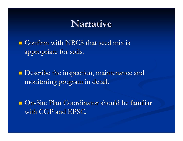#### **Narrative Narrative**

 $\blacksquare$  Confirm with NRCS that seed mix is appropriate for soils. appropriate for soils.

 $\blacksquare$  Describe the inspection, maintenance and monitoring program in detail.

 $\Box$  On-Site Plan Coordinator should be familiar with CGP and EPSC.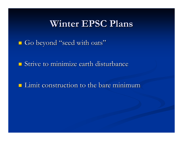#### **Winter EPSC Plans Winter EPSC Plans**

Go beyond "seed with oats"

 $\blacksquare$  Strive to minimize earth disturbance

 $\blacksquare$  Limit construction to the bare minimum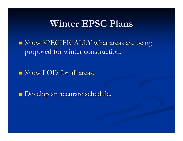#### **Winter EPSC Plans Winter EPSC Plans**

 $\blacksquare$  Show SPECIFICALLY what areas are being proposed for winter construction.

 $\blacksquare$  Show LOD for all areas.

Develop an accurate schedule. Develop an accurate schedule.